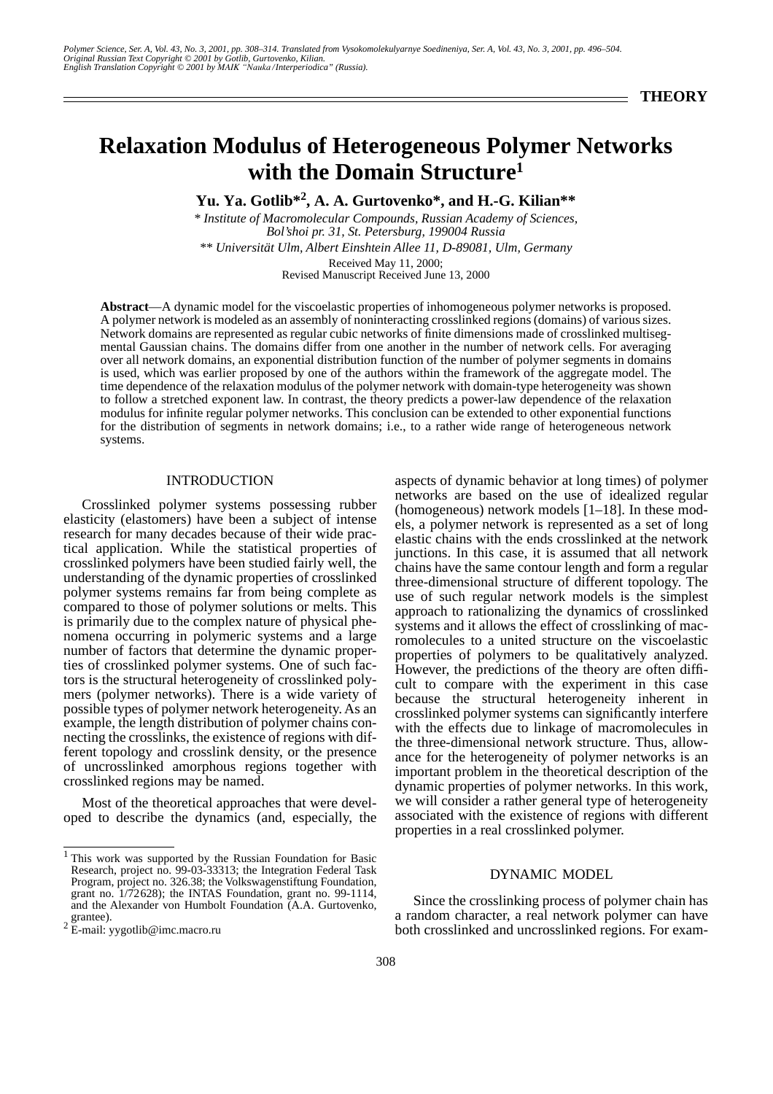# **Relaxation Modulus of Heterogeneous Polymer Networks with the Domain Structure1**

**Yu. Ya. Gotlib\*2, A. A. Gurtovenko\*, and H.-G. Kilian\*\*** 

*\* Institute of Macromolecular Compounds, Russian Academy of Sciences, Bol'shoi pr. 31, St. Petersburg, 199004 Russia \*\* Universität Ulm, Albert Einshtein Allee 11, D-89081, Ulm, Germany* Received May 11, 2000; Revised Manuscript Received June 13, 2000

**Abstract**—A dynamic model for the viscoelastic properties of inhomogeneous polymer networks is proposed. A polymer network is modeled as an assembly of noninteracting crosslinked regions (domains) of various sizes. Network domains are represented as regular cubic networks of finite dimensions made of crosslinked multisegmental Gaussian chains. The domains differ from one another in the number of network cells. For averaging over all network domains, an exponential distribution function of the number of polymer segments in domains is used, which was earlier proposed by one of the authors within the framework of the aggregate model. The time dependence of the relaxation modulus of the polymer network with domain-type heterogeneity was shown to follow a stretched exponent law. In contrast, the theory predicts a power-law dependence of the relaxation modulus for infinite regular polymer networks. This conclusion can be extended to other exponential functions for the distribution of segments in network domains; i.e., to a rather wide range of heterogeneous network systems.

## INTRODUCTION

Crosslinked polymer systems possessing rubber elasticity (elastomers) have been a subject of intense research for many decades because of their wide practical application. While the statistical properties of crosslinked polymers have been studied fairly well, the understanding of the dynamic properties of crosslinked polymer systems remains far from being complete as compared to those of polymer solutions or melts. This is primarily due to the complex nature of physical phenomena occurring in polymeric systems and a large number of factors that determine the dynamic properties of crosslinked polymer systems. One of such factors is the structural heterogeneity of crosslinked polymers (polymer networks). There is a wide variety of possible types of polymer network heterogeneity. As an example, the length distribution of polymer chains connecting the crosslinks, the existence of regions with different topology and crosslink density, or the presence of uncrosslinked amorphous regions together with crosslinked regions may be named.

Most of the theoretical approaches that were developed to describe the dynamics (and, especially, the aspects of dynamic behavior at long times) of polymer networks are based on the use of idealized regular (homogeneous) network models [1–18]. In these models, a polymer network is represented as a set of long elastic chains with the ends crosslinked at the network junctions. In this case, it is assumed that all network chains have the same contour length and form a regular three-dimensional structure of different topology. The use of such regular network models is the simplest approach to rationalizing the dynamics of crosslinked systems and it allows the effect of crosslinking of macromolecules to a united structure on the viscoelastic properties of polymers to be qualitatively analyzed. However, the predictions of the theory are often difficult to compare with the experiment in this case because the structural heterogeneity inherent in crosslinked polymer systems can significantly interfere with the effects due to linkage of macromolecules in the three-dimensional network structure. Thus, allowance for the heterogeneity of polymer networks is an important problem in the theoretical description of the dynamic properties of polymer networks. In this work, we will consider a rather general type of heterogeneity associated with the existence of regions with different properties in a real crosslinked polymer.

# DYNAMIC MODEL

Since the crosslinking process of polymer chain has a random character, a real network polymer can have both crosslinked and uncrosslinked regions. For exam-

<sup>&</sup>lt;sup>1</sup> This work was supported by the Russian Foundation for Basic Research, project no. 99-03-33313; the Integration Federal Task Program, project no. 326.38; the Volkswagenstiftung Foundation, grant no. 1/72628); the INTAS Foundation, grant no. 99-1114, and the Alexander von Humbolt Foundation (A.A. Gurtovenko, grantee).

 $2 \text{ E-mail: }$  yygotlib@imc.macro.ru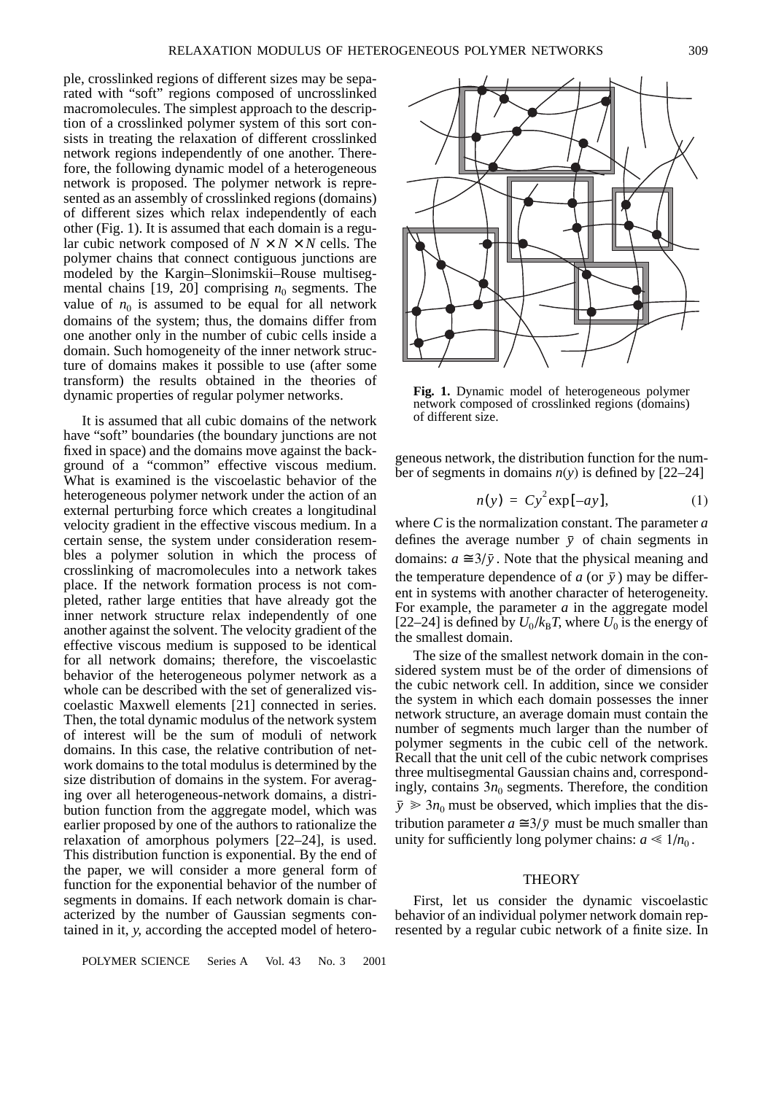ple, crosslinked regions of different sizes may be separated with "soft" regions composed of uncrosslinked macromolecules. The simplest approach to the description of a crosslinked polymer system of this sort consists in treating the relaxation of different crosslinked network regions independently of one another. Therefore, the following dynamic model of a heterogeneous network is proposed. The polymer network is represented as an assembly of crosslinked regions (domains) of different sizes which relax independently of each other (Fig. 1). It is assumed that each domain is a regular cubic network composed of  $N \times N \times N$  cells. The polymer chains that connect contiguous junctions are modeled by the Kargin–Slonimskii–Rouse multisegmental chains [19, 20] comprising  $n_0$  segments. The value of  $n_0$  is assumed to be equal for all network domains of the system; thus, the domains differ from one another only in the number of cubic cells inside a domain. Such homogeneity of the inner network structure of domains makes it possible to use (after some transform) the results obtained in the theories of dynamic properties of regular polymer networks.

It is assumed that all cubic domains of the network have "soft" boundaries (the boundary junctions are not fixed in space) and the domains move against the background of a "common" effective viscous medium. What is examined is the viscoelastic behavior of the heterogeneous polymer network under the action of an external perturbing force which creates a longitudinal velocity gradient in the effective viscous medium. In a certain sense, the system under consideration resembles a polymer solution in which the process of crosslinking of macromolecules into a network takes place. If the network formation process is not completed, rather large entities that have already got the inner network structure relax independently of one another against the solvent. The velocity gradient of the effective viscous medium is supposed to be identical for all network domains; therefore, the viscoelastic behavior of the heterogeneous polymer network as a whole can be described with the set of generalized viscoelastic Maxwell elements [21] connected in series. Then, the total dynamic modulus of the network system of interest will be the sum of moduli of network domains. In this case, the relative contribution of network domains to the total modulus is determined by the size distribution of domains in the system. For averaging over all heterogeneous-network domains, a distribution function from the aggregate model, which was earlier proposed by one of the authors to rationalize the relaxation of amorphous polymers [22–24], is used. This distribution function is exponential. By the end of the paper, we will consider a more general form of function for the exponential behavior of the number of segments in domains. If each network domain is characterized by the number of Gaussian segments contained in it, *y*, according the accepted model of hetero-

POLYMER SCIENCE Series A Vol. 43 No. 3 2001



**Fig. 1.** Dynamic model of heterogeneous polymer network composed of crosslinked regions (domains) of different size.

geneous network, the distribution function for the number of segments in domains *n*(*y*) is defined by [22–24]

$$
n(y) = Cy^2 \exp[-ay], \tag{1}
$$

where *C* is the normalization constant. The parameter *a* defines the average number  $\bar{y}$  of chain segments in domains:  $a \approx 3/\bar{y}$ . Note that the physical meaning and the temperature dependence of  $a$  (or  $\bar{y}$ ) may be different in systems with another character of heterogeneity. For example, the parameter *a* in the aggregate model [22–24] is defined by  $U_0 / k_B T$ , where  $U_0$  is the energy of the smallest domain.

The size of the smallest network domain in the considered system must be of the order of dimensions of the cubic network cell. In addition, since we consider the system in which each domain possesses the inner network structure, an average domain must contain the number of segments much larger than the number of polymer segments in the cubic cell of the network. Recall that the unit cell of the cubic network comprises three multisegmental Gaussian chains and, correspondingly, contains  $3n_0$  segments. Therefore, the condition  $\bar{y} \geq 3n_0$  must be observed, which implies that the distribution parameter  $a \approx 3/\bar{y}$  must be much smaller than unity for sufficiently long polymer chains:  $a \ll 1/n_0$ .

## **THEORY**

First, let us consider the dynamic viscoelastic behavior of an individual polymer network domain represented by a regular cubic network of a finite size. In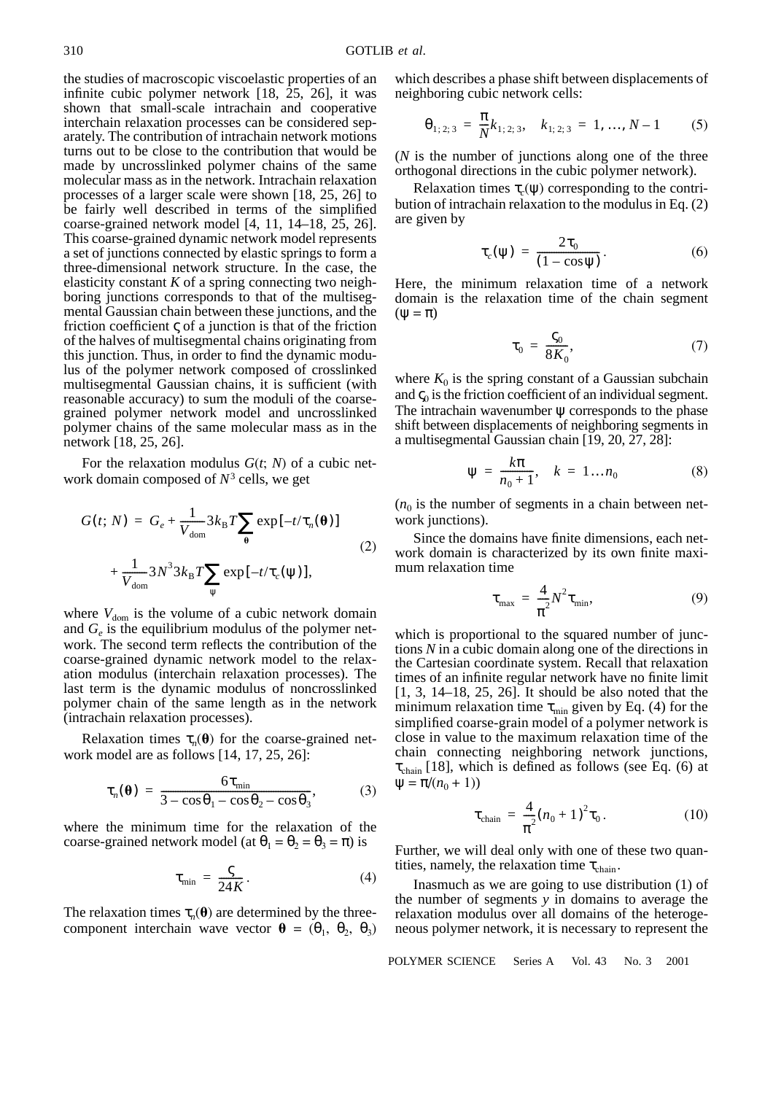the studies of macroscopic viscoelastic properties of an infinite cubic polymer network  $[18, 25, 26]$ , it was shown that small-scale intrachain and cooperative interchain relaxation processes can be considered separately. The contribution of intrachain network motions turns out to be close to the contribution that would be made by uncrosslinked polymer chains of the same molecular mass as in the network. Intrachain relaxation processes of a larger scale were shown [18, 25, 26] to be fairly well described in terms of the simplified coarse-grained network model [4, 11, 14–18, 25, 26]. This coarse-grained dynamic network model represents a set of junctions connected by elastic springs to form a three-dimensional network structure. In the case, the elasticity constant *K* of a spring connecting two neighboring junctions corresponds to that of the multisegmental Gaussian chain between these junctions, and the friction coefficient  $\varsigma$  of a junction is that of the friction of the halves of multisegmental chains originating from this junction. Thus, in order to find the dynamic modulus of the polymer network composed of crosslinked multisegmental Gaussian chains, it is sufficient (with reasonable accuracy) to sum the moduli of the coarsegrained polymer network model and uncrosslinked polymer chains of the same molecular mass as in the network [18, 25, 26].

For the relaxation modulus *G*(*t*; *N*) of a cubic network domain composed of  $N<sup>3</sup>$  cells, we get

$$
G(t; N) = G_e + \frac{1}{V_{\text{dom}}} 3k_{\text{B}}T \sum_{\theta} \exp[-t/\tau_n(\theta)]
$$
  
+ 
$$
\frac{1}{V_{\text{dom}}} 3N^3 3k_{\text{B}}T \sum_{\psi} \exp[-t/\tau_c(\psi)],
$$
 (2)

where  $V_{\text{dom}}$  is the volume of a cubic network domain and  $G_e$  is the equilibrium modulus of the polymer network. The second term reflects the contribution of the coarse-grained dynamic network model to the relaxation modulus (interchain relaxation processes). The last term is the dynamic modulus of noncrosslinked polymer chain of the same length as in the network (intrachain relaxation processes).

Relaxation times  $\tau_n(\theta)$  for the coarse-grained network model are as follows [14, 17, 25, 26]:

$$
\tau_n(\mathbf{\theta}) = \frac{6\tau_{\min}}{3 - \cos\theta_1 - \cos\theta_2 - \cos\theta_3},\tag{3}
$$

where the minimum time for the relaxation of the coarse-grained network model (at  $\theta_1 = \theta_2 = \theta_3 = \pi$ ) is

$$
\tau_{\min} = \frac{\varsigma}{24K}.
$$
 (4)

The relaxation times  $\tau_n(\theta)$  are determined by the threecomponent interchain wave vector  $\mathbf{\theta} = (\theta_1, \theta_2, \theta_3)$  which describes a phase shift between displacements of neighboring cubic network cells:

$$
\Theta_{1;2;3} = \frac{\pi}{N} k_{1;2;3}, \quad k_{1;2;3} = 1, ..., N-1 \quad (5)
$$

(*N* is the number of junctions along one of the three orthogonal directions in the cubic polymer network).

Relaxation times  $\tau_c(\psi)$  corresponding to the contribution of intrachain relaxation to the modulus in Eq. (2) are given by

$$
\tau_c(\psi) = \frac{2\tau_0}{(1 - \cos \psi)}.
$$
 (6)

Here, the minimum relaxation time of a network domain is the relaxation time of the chain segment  $(\Psi = \pi)$ 

$$
\tau_0 = \frac{\zeta_0}{8K_0},\tag{7}
$$

where  $K_0$  is the spring constant of a Gaussian subchain and  $\zeta_0$  is the friction coefficient of an individual segment. The intrachain wavenumber  $\psi$  corresponds to the phase shift between displacements of neighboring segments in a multisegmental Gaussian chain [19, 20, 27, 28]:

$$
\Psi = \frac{k\pi}{n_0 + 1}, \quad k = 1...n_0 \tag{8}
$$

 $(n_0)$  is the number of segments in a chain between network junctions).

Since the domains have finite dimensions, each network domain is characterized by its own finite maximum relaxation time

$$
\tau_{\text{max}} = \frac{4}{\pi^2} N^2 \tau_{\text{min}}, \tag{9}
$$

which is proportional to the squared number of junctions *N* in a cubic domain along one of the directions in the Cartesian coordinate system. Recall that relaxation times of an infinite regular network have no finite limit [1, 3, 14–18, 25, 26]. It should be also noted that the minimum relaxation time  $\tau_{\text{min}}$  given by Eq. (4) for the simplified coarse-grain model of a polymer network is close in value to the maximum relaxation time of the chain connecting neighboring network junctions,  $\tau_{chain}$  [18], which is defined as follows (see Eq. (6) at  $\Psi = \pi/(n_0 + 1)$ 

$$
\tau_{\text{chain}} = \frac{4}{\pi^2} (n_0 + 1)^2 \tau_0.
$$
 (10)

Further, we will deal only with one of these two quantities, namely, the relaxation time  $\tau_{chain}$ .

Inasmuch as we are going to use distribution (1) of the number of segments *y* in domains to average the relaxation modulus over all domains of the heterogeneous polymer network, it is necessary to represent the

POLYMER SCIENCE Series A Vol. 43 No. 3 2001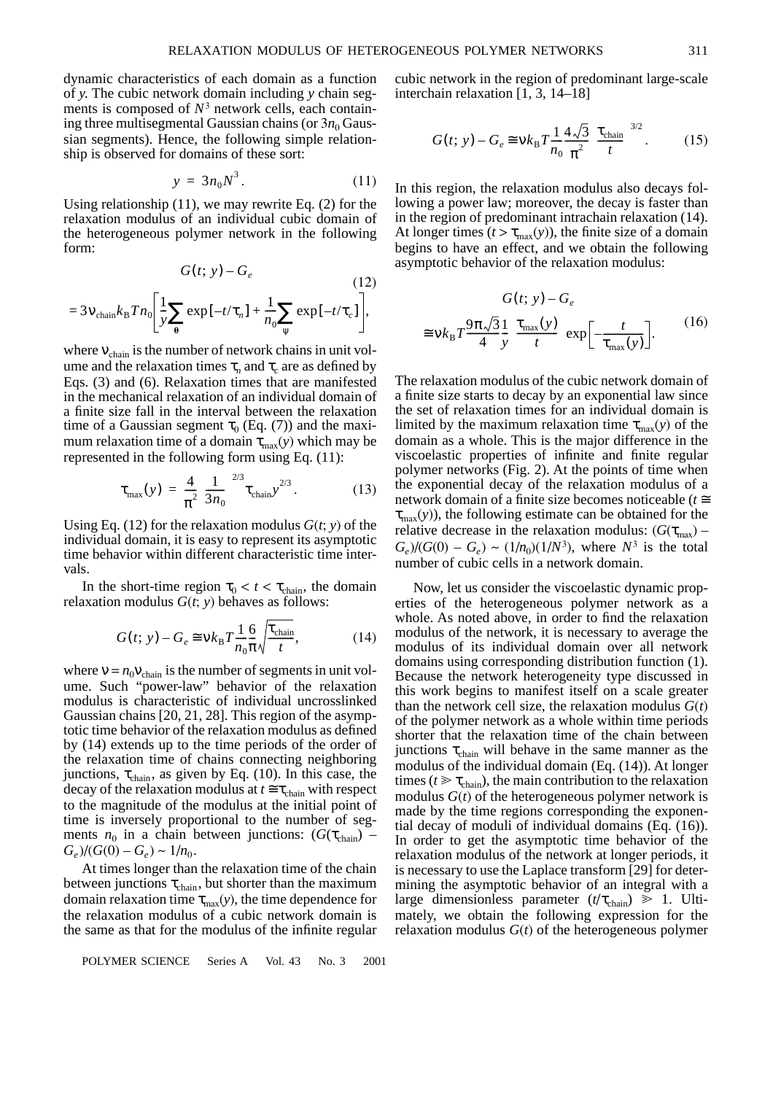dynamic characteristics of each domain as a function of *y*. The cubic network domain including *y* chain segments is composed of  $N<sup>3</sup>$  network cells, each containing three multisegmental Gaussian chains (or  $3n_0$  Gaussian segments). Hence, the following simple relationship is observed for domains of these sort:

$$
y = 3n_0 N^3. \tag{11}
$$

Using relationship (11), we may rewrite Eq. (2) for the relaxation modulus of an individual cubic domain of the heterogeneous polymer network in the following form:

$$
G(t; y) - G_e
$$
\n
$$
= 3v_{\text{chain}}k_B T n_0 \left[ \frac{1}{y} \sum_{\theta} \exp[-t/\tau_n] + \frac{1}{n_0} \sum_{\psi} \exp[-t/\tau_c] \right],
$$
\n(12)

where  $v_{chain}$  is the number of network chains in unit volume and the relaxation times  $\tau_n$  and  $\tau_c$  are as defined by Eqs. (3) and (6). Relaxation times that are manifested in the mechanical relaxation of an individual domain of a finite size fall in the interval between the relaxation time of a Gaussian segment  $\tau_0$  (Eq. (7)) and the maximum relaxation time of a domain  $\tau_{\text{max}}(y)$  which may be represented in the following form using Eq. (11):

$$
\tau_{\text{max}}(y) = \frac{4}{\pi^2} \left(\frac{1}{3n_0}\right)^{2/3} \tau_{\text{chain}} y^{2/3}.
$$
 (13)

Using Eq. (12) for the relaxation modulus  $G(t, y)$  of the individual domain, it is easy to represent its asymptotic time behavior within different characteristic time intervals.

In the short-time region  $\tau_0 < t < \tau_{chain}$ , the domain relaxation modulus  $G(t; y)$  behaves as follows:

$$
G(t; y) - G_e \approx \nu k_B T \frac{1}{n_0} \frac{6}{\pi} \sqrt{\frac{\tau_{\text{chain}}}{t}},
$$
 (14)

where  $v = n_0 v_{chain}$  is the number of segments in unit volume. Such "power-law" behavior of the relaxation modulus is characteristic of individual uncrosslinked Gaussian chains [20, 21, 28]. This region of the asymptotic time behavior of the relaxation modulus as defined by (14) extends up to the time periods of the order of the relaxation time of chains connecting neighboring junctions,  $\tau_{chain}$ , as given by Eq. (10). In this case, the decay of the relaxation modulus at  $t \approx \tau_{chain}$  with respect to the magnitude of the modulus at the initial point of time is inversely proportional to the number of segments  $n_0$  in a chain between junctions: ( $G(\tau_{chain})$  –  $G_e$ )/( $G(0) - G_e$ ) ~ 1/n<sub>0</sub>.

At times longer than the relaxation time of the chain between junctions  $\tau_{chain}$ , but shorter than the maximum domain relaxation time  $\tau_{\text{max}}(y)$ , the time dependence for the relaxation modulus of a cubic network domain is the same as that for the modulus of the infinite regular

POLYMER SCIENCE Series A Vol. 43 No. 3 2001

cubic network in the region of predominant large-scale interchain relaxation [1, 3, 14–18]

$$
G(t; y) - G_e \cong \nu k_B T \frac{1}{n_0} \frac{4\sqrt{3}}{\pi^2} \left(\frac{\tau_{\text{chain}}}{t}\right)^{3/2}.
$$
 (15)

In this region, the relaxation modulus also decays following a power law; moreover, the decay is faster than in the region of predominant intrachain relaxation (14). At longer times  $(t > \tau_{\text{max}}(y))$ , the finite size of a domain begins to have an effect, and we obtain the following asymptotic behavior of the relaxation modulus:

$$
G(t; y) - G_e
$$
  
\n
$$
\approx v k_B T \frac{9\pi \sqrt{3}}{4} \frac{1}{y} \left(\frac{\tau_{\text{max}}(y)}{t}\right) \exp\left[-\frac{t}{\tau_{\text{max}}(y)}\right].
$$
 (16)

The relaxation modulus of the cubic network domain of a finite size starts to decay by an exponential law since the set of relaxation times for an individual domain is limited by the maximum relaxation time  $\tau_{\text{max}}(y)$  of the domain as a whole. This is the major difference in the viscoelastic properties of infinite and finite regular polymer networks (Fig. 2). At the points of time when the exponential decay of the relaxation modulus of a network domain of a finite size becomes noticeable (*t* ≅  $\tau_{\text{max}}(y)$ , the following estimate can be obtained for the relative decrease in the relaxation modulus:  $(G(\tau_{\text{max}})$  –  $G_e$ )/( $G(0) - G_e$ ) ~ ( $1/n_0$ )( $1/N^3$ ), where  $N^3$  is the total number of cubic cells in a network domain.

Now, let us consider the viscoelastic dynamic properties of the heterogeneous polymer network as a whole. As noted above, in order to find the relaxation modulus of the network, it is necessary to average the modulus of its individual domain over all network domains using corresponding distribution function (1). Because the network heterogeneity type discussed in this work begins to manifest itself on a scale greater than the network cell size, the relaxation modulus  $G(t)$ of the polymer network as a whole within time periods shorter that the relaxation time of the chain between junctions  $\tau_{chain}$  will behave in the same manner as the modulus of the individual domain (Eq. (14)). At longer times ( $t \ge \tau_{chain}$ ), the main contribution to the relaxation modulus *G*(*t*) of the heterogeneous polymer network is made by the time regions corresponding the exponential decay of moduli of individual domains (Eq. (16)). In order to get the asymptotic time behavior of the relaxation modulus of the network at longer periods, it is necessary to use the Laplace transform [29] for determining the asymptotic behavior of an integral with a large dimensionless parameter  $(t/\tau_{chain}) \ge 1$ . Ultimately, we obtain the following expression for the relaxation modulus *G*(*t*) of the heterogeneous polymer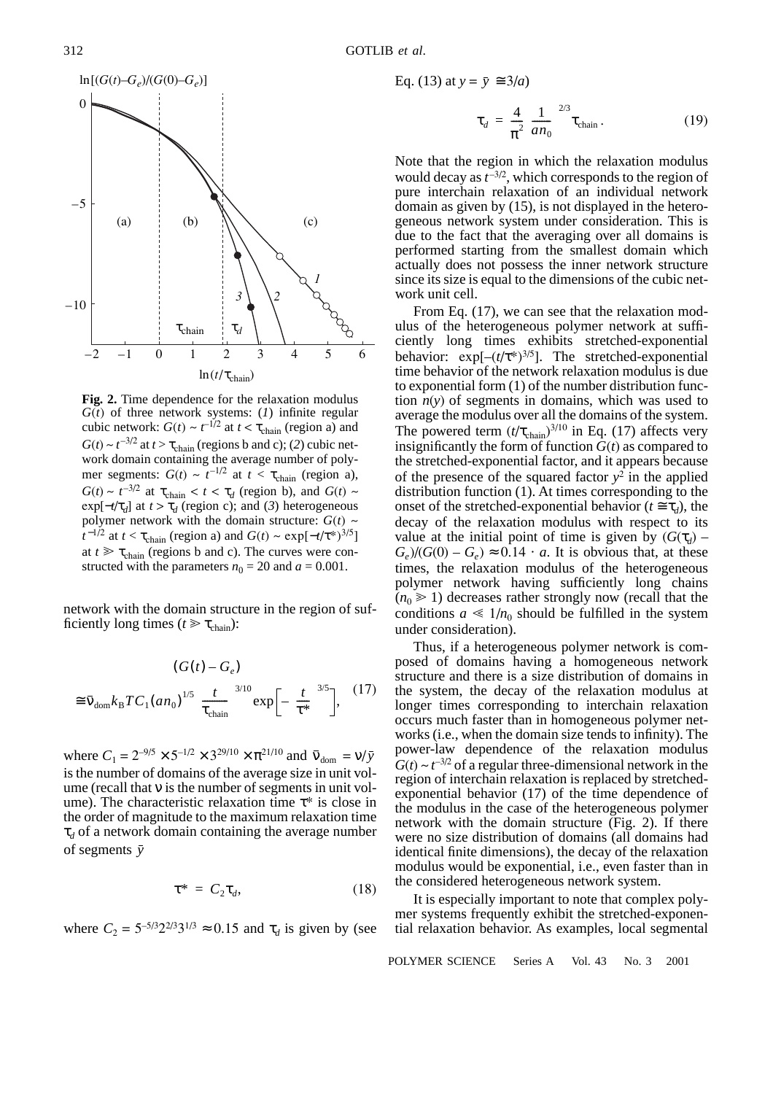

**Fig. 2.** Time dependence for the relaxation modulus *G*(*t*) of three network systems: (*1*) infinite regular cubic network:  $G(t) \sim t^{-1/2}$  at  $t < \tau_{chain}$  (region a) and  $G(t) \sim t^{-3/2}$  at  $t > \tau_{chain}$  (regions b and c); (2) cubic network domain containing the average number of polymer segments:  $G(t) \sim t^{-1/2}$  at  $t < \tau_{chain}$  (region a),  $G(t) \sim t^{-3/2}$  at  $\tau_{\text{chain}} < t < \tau_d$  (region b), and  $G(t) \sim$  $\exp[-t/\tau_d]$  at  $t > \tau_d$  (region c); and (3) heterogeneous polymer network with the domain structure:  $G(t)$  ~  $t^{-1/2}$  at  $t < \tau_{chain}$  (region a) and  $G(t) \sim \exp[-t/\tau^{*})^{3/5}]$ at  $t \geq \tau_{chain}$  (regions b and c). The curves were constructed with the parameters  $n_0 = 20$  and  $a = 0.001$ .

network with the domain structure in the region of sufficiently long times ( $t \ge \tau_{chain}$ ):

$$
(G(t) - G_e)
$$
  
\n
$$
\cong \bar{v}_{\text{dom}} k_{\text{B}} T C_1 (a n_0)^{1/5} \left(\frac{t}{\tau_{\text{chain}}}\right)^{3/10} \exp\left[-\left(\frac{t}{\tau^*}\right)^{3/5}\right],
$$
 (17)

where  $C_1 = 2^{-9/5} \times 5^{-1/2} \times 3^{29/10} \times \pi^{21/10}$  and  $\bar{v}_{\text{dom}} = v/\bar{y}$ is the number of domains of the average size in unit volume (recall that ν is the number of segments in unit volume). The characteristic relaxation time  $\tau^*$  is close in the order of magnitude to the maximum relaxation time  $\tau_d$  of a network domain containing the average number of segments *y*

$$
\tau^* = C_2 \tau_d, \tag{18}
$$

where  $C_2 = 5^{-5/3} 2^{2/3} 3^{1/3} \approx 0.15$  and  $\tau_d$  is given by (see

Eq. (13) at 
$$
y = \bar{y} \approx 3/a
$$
)  

$$
\tau_d = \frac{4}{\pi^2} \left(\frac{1}{a n_0}\right)^{2/3} \tau_{\text{chain}}.
$$
(19)

Note that the region in which the relaxation modulus would decay as  $t^{-3/2}$ , which corresponds to the region of pure interchain relaxation of an individual network domain as given by (15), is not displayed in the heterogeneous network system under consideration. This is due to the fact that the averaging over all domains is performed starting from the smallest domain which actually does not possess the inner network structure since its size is equal to the dimensions of the cubic network unit cell.

From Eq. (17), we can see that the relaxation modulus of the heterogeneous polymer network at sufficiently long times exhibits stretched-exponential behavior:  $exp[-(t/\tau^*)^{3/5}]$ . The stretched-exponential time behavior of the network relaxation modulus is due to exponential form (1) of the number distribution function  $n(y)$  of segments in domains, which was used to average the modulus over all the domains of the system. The powered term  $(t/\tau_{chain})^{3/10}$  in Eq. (17) affects very insignificantly the form of function  $\tilde{G}(t)$  as compared to the stretched-exponential factor, and it appears because of the presence of the squared factor  $y^2$  in the applied distribution function (1). At times corresponding to the onset of the stretched-exponential behavior ( $t \approx \tau_d$ ), the decay of the relaxation modulus with respect to its value at the initial point of time is given by  $(G(\tau_d) G_e$ )/( $G(0) - G_e$ )  $\approx 0.14 \cdot a$ . It is obvious that, at these times, the relaxation modulus of the heterogeneous polymer network having sufficiently long chains  $(n_0 \geq 1)$  decreases rather strongly now (recall that the conditions  $a \ll 1/n_0$  should be fulfilled in the system under consideration).

Thus, if a heterogeneous polymer network is composed of domains having a homogeneous network structure and there is a size distribution of domains in the system, the decay of the relaxation modulus at longer times corresponding to interchain relaxation occurs much faster than in homogeneous polymer networks (i.e., when the domain size tends to infinity). The power-law dependence of the relaxation modulus  $G(t) \sim t^{-3/2}$  of a regular three-dimensional network in the region of interchain relaxation is replaced by stretchedexponential behavior (17) of the time dependence of the modulus in the case of the heterogeneous polymer network with the domain structure (Fig. 2). If there were no size distribution of domains (all domains had identical finite dimensions), the decay of the relaxation modulus would be exponential, i.e., even faster than in the considered heterogeneous network system.

It is especially important to note that complex polymer systems frequently exhibit the stretched-exponential relaxation behavior. As examples, local segmental

POLYMER SCIENCE Series A Vol. 43 No. 3 2001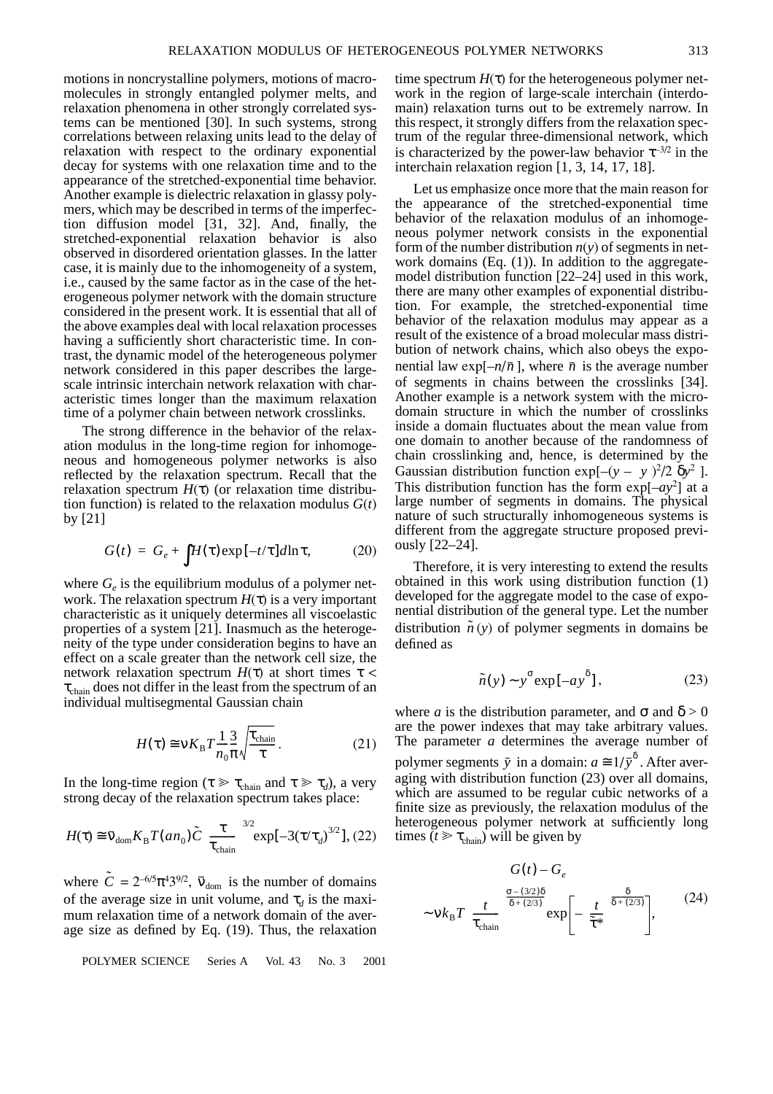motions in noncrystalline polymers, motions of macromolecules in strongly entangled polymer melts, and relaxation phenomena in other strongly correlated systems can be mentioned [30]. In such systems, strong correlations between relaxing units lead to the delay of relaxation with respect to the ordinary exponential decay for systems with one relaxation time and to the appearance of the stretched-exponential time behavior. Another example is dielectric relaxation in glassy polymers, which may be described in terms of the imperfection diffusion model [31, 32]. And, finally, the stretched-exponential relaxation behavior is also observed in disordered orientation glasses. In the latter case, it is mainly due to the inhomogeneity of a system, i.e., caused by the same factor as in the case of the heterogeneous polymer network with the domain structure considered in the present work. It is essential that all of the above examples deal with local relaxation processes having a sufficiently short characteristic time. In contrast, the dynamic model of the heterogeneous polymer network considered in this paper describes the largescale intrinsic interchain network relaxation with characteristic times longer than the maximum relaxation time of a polymer chain between network crosslinks.

The strong difference in the behavior of the relaxation modulus in the long-time region for inhomogeneous and homogeneous polymer networks is also reflected by the relaxation spectrum. Recall that the relaxation spectrum  $H(\tau)$  (or relaxation time distribution function) is related to the relaxation modulus  $G(t)$ by [21]

$$
G(t) = G_e + \int H(\tau) \exp[-t/\tau] d\ln \tau, \qquad (20)
$$

where  $G_e$  is the equilibrium modulus of a polymer network. The relaxation spectrum  $H(\tau)$  is a very important characteristic as it uniquely determines all viscoelastic properties of a system [21]. Inasmuch as the heterogeneity of the type under consideration begins to have an effect on a scale greater than the network cell size, the network relaxation spectrum  $H(τ)$  at short times  $τ <$  $\tau_{chain}$  does not differ in the least from the spectrum of an individual multisegmental Gaussian chain

$$
H(\tau) \cong \nu K_{\rm B} T \frac{1}{n_0} \frac{3}{\pi} \sqrt{\frac{\tau_{\rm chain}}{\tau}}.
$$
 (21)

In the long-time region ( $\tau \gg \tau_{\text{chain}}$  and  $\tau \gg \tau_d$ ), a very strong decay of the relaxation spectrum takes place:

$$
H(\tau) \cong \bar{\mathbf{v}}_{\text{dom}} K_{\text{B}} T(an_0) \tilde{C} \left(\frac{\tau}{\tau_{\text{chain}}}\right)^{3/2} \exp[-3(\tau/\tau_d)^{3/2}], (22)
$$

where  $\tilde{C} = 2^{-6/5} \pi^4 3^{9/2}$ ,  $\bar{v}_{\text{dom}}$  is the number of domains of the average size in unit volume, and  $\tau_d$  is the maximum relaxation time of a network domain of the average size as defined by Eq. (19). Thus, the relaxation

POLYMER SCIENCE Series A Vol. 43 No. 3 2001

time spectrum  $H(\tau)$  for the heterogeneous polymer network in the region of large-scale interchain (interdomain) relaxation turns out to be extremely narrow. In this respect, it strongly differs from the relaxation spectrum of the regular three-dimensional network, which is characterized by the power-law behavior  $\tau^{-3/2}$  in the interchain relaxation region [1, 3, 14, 17, 18].

Let us emphasize once more that the main reason for the appearance of the stretched-exponential time behavior of the relaxation modulus of an inhomogeneous polymer network consists in the exponential form of the number distribution *n*(*y*) of segments in network domains  $(Eq. (1))$ . In addition to the aggregatemodel distribution function [22–24] used in this work, there are many other examples of exponential distribution. For example, the stretched-exponential time behavior of the relaxation modulus may appear as a result of the existence of a broad molecular mass distribution of network chains, which also obeys the exponential law  $exp[-n/\bar{n}]$ , where  $\bar{n}$  is the average number of segments in chains between the crosslinks [34]. Another example is a network system with the microdomain structure in which the number of crosslinks inside a domain fluctuates about the mean value from one domain to another because of the randomness of chain crosslinking and, hence, is determined by the Gaussian distribution function  $exp[-(y - \langle y \rangle)^2 / 2 \langle \delta y^2 \rangle]$ . This distribution function has the form  $exp[-ay^2]$  at a large number of segments in domains. The physical nature of such structurally inhomogeneous systems is different from the aggregate structure proposed previously [22–24].

Therefore, it is very interesting to extend the results obtained in this work using distribution function (1) developed for the aggregate model to the case of exponential distribution of the general type. Let the number distribution  $\tilde{n}(y)$  of polymer segments in domains be defined as

$$
\tilde{n}(y) \sim y^{\sigma} \exp[-a y^{\delta}], \qquad (23)
$$

where *a* is the distribution parameter, and  $\sigma$  and  $\delta > 0$ are the power indexes that may take arbitrary values. The parameter *a* determines the average number of polymer segments  $\bar{y}$  in a domain:  $a \approx 1/\bar{y}^{\delta}$ . After averaging with distribution function (23) over all domains, which are assumed to be regular cubic networks of a finite size as previously, the relaxation modulus of the heterogeneous polymer network at sufficiently long times  $(t \ge \tau_{\text{chain}})$  will be given by

$$
G(t) - G_e
$$
  

$$
\sim v k_B T \left( \frac{t}{\tau_{\text{chain}}} \right)^{\frac{\sigma - (3/2)\delta}{\delta + (2/3)}} \exp \left[ - \left( \frac{t}{\tilde{\tau}^*} \right)^{\frac{\delta}{\delta + (2/3)}} \right],
$$
 (24)